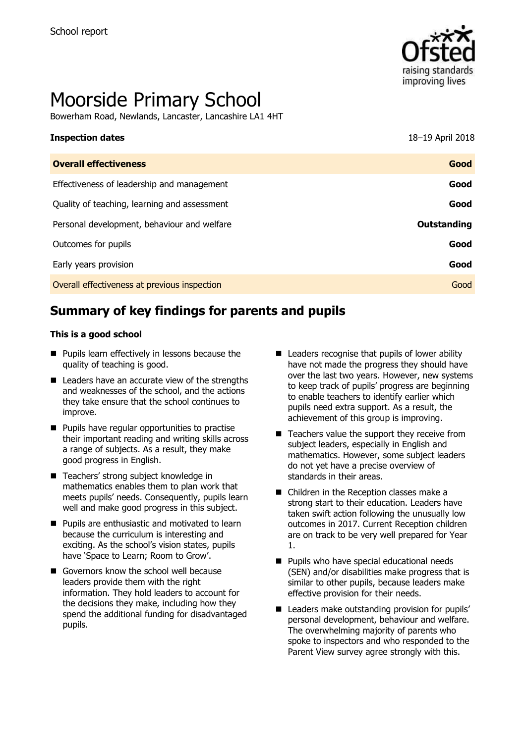

# Moorside Primary School

Bowerham Road, Newlands, Lancaster, Lancashire LA1 4HT

| <b>Inspection dates</b>                      | 18-19 April 2018 |
|----------------------------------------------|------------------|
| <b>Overall effectiveness</b>                 | Good             |
| Effectiveness of leadership and management   | Good             |
| Quality of teaching, learning and assessment | Good             |
| Personal development, behaviour and welfare  | Outstanding      |
| Outcomes for pupils                          | Good             |
| Early years provision                        | Good             |
| Overall effectiveness at previous inspection | Good             |

# **Summary of key findings for parents and pupils**

### **This is a good school**

- **Pupils learn effectively in lessons because the** quality of teaching is good.
- Leaders have an accurate view of the strengths and weaknesses of the school, and the actions they take ensure that the school continues to improve.
- **Pupils have regular opportunities to practise** their important reading and writing skills across a range of subjects. As a result, they make good progress in English.
- Teachers' strong subject knowledge in mathematics enables them to plan work that meets pupils' needs. Consequently, pupils learn well and make good progress in this subject.
- **Pupils are enthusiastic and motivated to learn** because the curriculum is interesting and exciting. As the school's vision states, pupils have 'Space to Learn; Room to Grow'.
- Governors know the school well because leaders provide them with the right information. They hold leaders to account for the decisions they make, including how they spend the additional funding for disadvantaged pupils.
- $\blacksquare$  Leaders recognise that pupils of lower ability have not made the progress they should have over the last two years. However, new systems to keep track of pupils' progress are beginning to enable teachers to identify earlier which pupils need extra support. As a result, the achievement of this group is improving.
- $\blacksquare$  Teachers value the support they receive from subject leaders, especially in English and mathematics. However, some subject leaders do not yet have a precise overview of standards in their areas.
- Children in the Reception classes make a strong start to their education. Leaders have taken swift action following the unusually low outcomes in 2017. Current Reception children are on track to be very well prepared for Year 1.
- **Pupils who have special educational needs** (SEN) and/or disabilities make progress that is similar to other pupils, because leaders make effective provision for their needs.
- Leaders make outstanding provision for pupils' personal development, behaviour and welfare. The overwhelming majority of parents who spoke to inspectors and who responded to the Parent View survey agree strongly with this.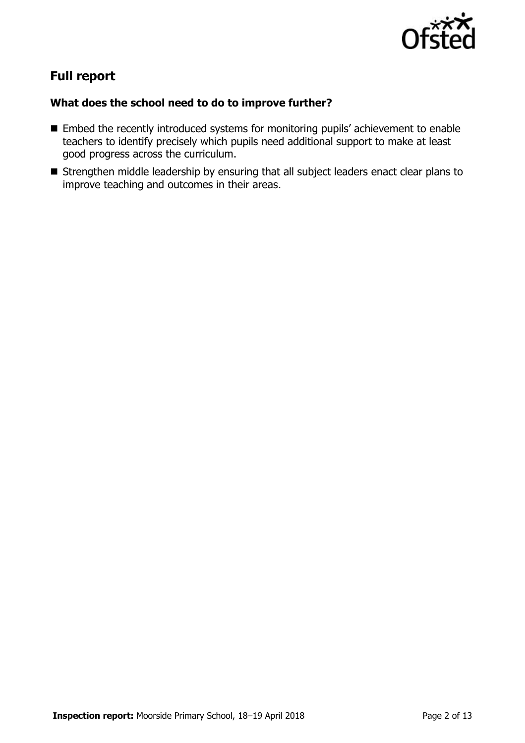

# **Full report**

### **What does the school need to do to improve further?**

- Embed the recently introduced systems for monitoring pupils' achievement to enable teachers to identify precisely which pupils need additional support to make at least good progress across the curriculum.
- Strengthen middle leadership by ensuring that all subject leaders enact clear plans to improve teaching and outcomes in their areas.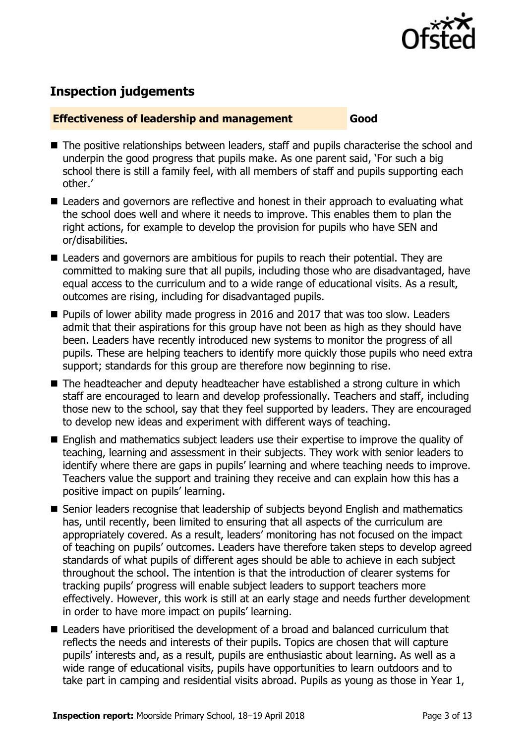

# **Inspection judgements**

### **Effectiveness of leadership and management Good**

- The positive relationships between leaders, staff and pupils characterise the school and underpin the good progress that pupils make. As one parent said, 'For such a big school there is still a family feel, with all members of staff and pupils supporting each other.'
- Leaders and governors are reflective and honest in their approach to evaluating what the school does well and where it needs to improve. This enables them to plan the right actions, for example to develop the provision for pupils who have SEN and or/disabilities.
- Leaders and governors are ambitious for pupils to reach their potential. They are committed to making sure that all pupils, including those who are disadvantaged, have equal access to the curriculum and to a wide range of educational visits. As a result, outcomes are rising, including for disadvantaged pupils.
- **Pupils of lower ability made progress in 2016 and 2017 that was too slow. Leaders** admit that their aspirations for this group have not been as high as they should have been. Leaders have recently introduced new systems to monitor the progress of all pupils. These are helping teachers to identify more quickly those pupils who need extra support; standards for this group are therefore now beginning to rise.
- The headteacher and deputy headteacher have established a strong culture in which staff are encouraged to learn and develop professionally. Teachers and staff, including those new to the school, say that they feel supported by leaders. They are encouraged to develop new ideas and experiment with different ways of teaching.
- English and mathematics subject leaders use their expertise to improve the quality of teaching, learning and assessment in their subjects. They work with senior leaders to identify where there are gaps in pupils' learning and where teaching needs to improve. Teachers value the support and training they receive and can explain how this has a positive impact on pupils' learning.
- Senior leaders recognise that leadership of subjects beyond English and mathematics has, until recently, been limited to ensuring that all aspects of the curriculum are appropriately covered. As a result, leaders' monitoring has not focused on the impact of teaching on pupils' outcomes. Leaders have therefore taken steps to develop agreed standards of what pupils of different ages should be able to achieve in each subject throughout the school. The intention is that the introduction of clearer systems for tracking pupils' progress will enable subject leaders to support teachers more effectively. However, this work is still at an early stage and needs further development in order to have more impact on pupils' learning.
- Leaders have prioritised the development of a broad and balanced curriculum that reflects the needs and interests of their pupils. Topics are chosen that will capture pupils' interests and, as a result, pupils are enthusiastic about learning. As well as a wide range of educational visits, pupils have opportunities to learn outdoors and to take part in camping and residential visits abroad. Pupils as young as those in Year 1,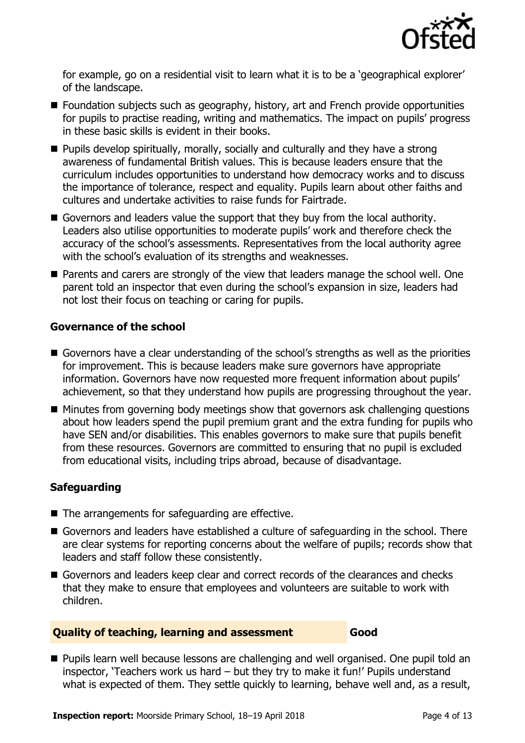

for example, go on a residential visit to learn what it is to be a 'geographical explorer' of the landscape.

- Foundation subjects such as geography, history, art and French provide opportunities for pupils to practise reading, writing and mathematics. The impact on pupils' progress in these basic skills is evident in their books.
- **Pupils develop spiritually, morally, socially and culturally and they have a strong** awareness of fundamental British values. This is because leaders ensure that the curriculum includes opportunities to understand how democracy works and to discuss the importance of tolerance, respect and equality. Pupils learn about other faiths and cultures and undertake activities to raise funds for Fairtrade.
- Governors and leaders value the support that they buy from the local authority. Leaders also utilise opportunities to moderate pupils' work and therefore check the accuracy of the school's assessments. Representatives from the local authority agree with the school's evaluation of its strengths and weaknesses.
- Parents and carers are strongly of the view that leaders manage the school well. One parent told an inspector that even during the school's expansion in size, leaders had not lost their focus on teaching or caring for pupils.

### **Governance of the school**

- Governors have a clear understanding of the school's strengths as well as the priorities for improvement. This is because leaders make sure governors have appropriate information. Governors have now requested more frequent information about pupils' achievement, so that they understand how pupils are progressing throughout the year.
- Minutes from governing body meetings show that governors ask challenging questions about how leaders spend the pupil premium grant and the extra funding for pupils who have SEN and/or disabilities. This enables governors to make sure that pupils benefit from these resources. Governors are committed to ensuring that no pupil is excluded from educational visits, including trips abroad, because of disadvantage.

### **Safeguarding**

- The arrangements for safeguarding are effective.
- Governors and leaders have established a culture of safeguarding in the school. There are clear systems for reporting concerns about the welfare of pupils; records show that leaders and staff follow these consistently.
- Governors and leaders keep clear and correct records of the clearances and checks that they make to ensure that employees and volunteers are suitable to work with children.

### **Quality of teaching, learning and assessment Good**

**Pupils learn well because lessons are challenging and well organised. One pupil told an** inspector, 'Teachers work us hard – but they try to make it fun!' Pupils understand what is expected of them. They settle quickly to learning, behave well and, as a result,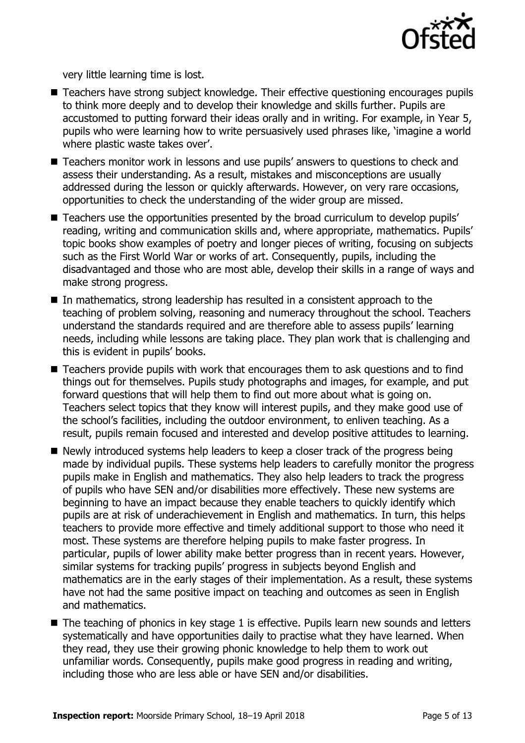

very little learning time is lost.

- Teachers have strong subject knowledge. Their effective questioning encourages pupils to think more deeply and to develop their knowledge and skills further. Pupils are accustomed to putting forward their ideas orally and in writing. For example, in Year 5, pupils who were learning how to write persuasively used phrases like, 'imagine a world where plastic waste takes over'.
- Teachers monitor work in lessons and use pupils' answers to questions to check and assess their understanding. As a result, mistakes and misconceptions are usually addressed during the lesson or quickly afterwards. However, on very rare occasions, opportunities to check the understanding of the wider group are missed.
- Teachers use the opportunities presented by the broad curriculum to develop pupils' reading, writing and communication skills and, where appropriate, mathematics. Pupils' topic books show examples of poetry and longer pieces of writing, focusing on subjects such as the First World War or works of art. Consequently, pupils, including the disadvantaged and those who are most able, develop their skills in a range of ways and make strong progress.
- In mathematics, strong leadership has resulted in a consistent approach to the teaching of problem solving, reasoning and numeracy throughout the school. Teachers understand the standards required and are therefore able to assess pupils' learning needs, including while lessons are taking place. They plan work that is challenging and this is evident in pupils' books.
- Teachers provide pupils with work that encourages them to ask questions and to find things out for themselves. Pupils study photographs and images, for example, and put forward questions that will help them to find out more about what is going on. Teachers select topics that they know will interest pupils, and they make good use of the school's facilities, including the outdoor environment, to enliven teaching. As a result, pupils remain focused and interested and develop positive attitudes to learning.
- Newly introduced systems help leaders to keep a closer track of the progress being made by individual pupils. These systems help leaders to carefully monitor the progress pupils make in English and mathematics. They also help leaders to track the progress of pupils who have SEN and/or disabilities more effectively. These new systems are beginning to have an impact because they enable teachers to quickly identify which pupils are at risk of underachievement in English and mathematics. In turn, this helps teachers to provide more effective and timely additional support to those who need it most. These systems are therefore helping pupils to make faster progress. In particular, pupils of lower ability make better progress than in recent years. However, similar systems for tracking pupils' progress in subjects beyond English and mathematics are in the early stages of their implementation. As a result, these systems have not had the same positive impact on teaching and outcomes as seen in English and mathematics.
- The teaching of phonics in key stage 1 is effective. Pupils learn new sounds and letters systematically and have opportunities daily to practise what they have learned. When they read, they use their growing phonic knowledge to help them to work out unfamiliar words. Consequently, pupils make good progress in reading and writing, including those who are less able or have SEN and/or disabilities.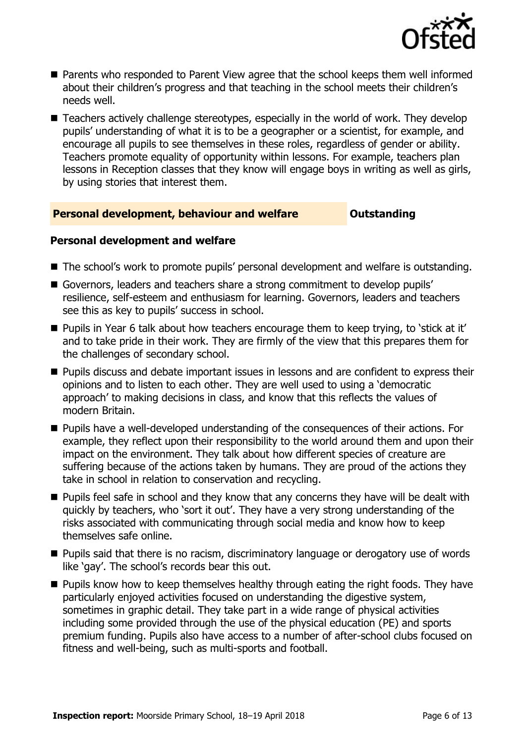

- Parents who responded to Parent View agree that the school keeps them well informed about their children's progress and that teaching in the school meets their children's needs well.
- Teachers actively challenge stereotypes, especially in the world of work. They develop pupils' understanding of what it is to be a geographer or a scientist, for example, and encourage all pupils to see themselves in these roles, regardless of gender or ability. Teachers promote equality of opportunity within lessons. For example, teachers plan lessons in Reception classes that they know will engage boys in writing as well as girls, by using stories that interest them.

### **Personal development, behaviour and welfare <b>COULTS** Outstanding

### **Personal development and welfare**

- The school's work to promote pupils' personal development and welfare is outstanding.
- Governors, leaders and teachers share a strong commitment to develop pupils' resilience, self-esteem and enthusiasm for learning. Governors, leaders and teachers see this as key to pupils' success in school.
- Pupils in Year 6 talk about how teachers encourage them to keep trying, to 'stick at it' and to take pride in their work. They are firmly of the view that this prepares them for the challenges of secondary school.
- **Pupils discuss and debate important issues in lessons and are confident to express their** opinions and to listen to each other. They are well used to using a 'democratic approach' to making decisions in class, and know that this reflects the values of modern Britain.
- **Pupils have a well-developed understanding of the consequences of their actions. For** example, they reflect upon their responsibility to the world around them and upon their impact on the environment. They talk about how different species of creature are suffering because of the actions taken by humans. They are proud of the actions they take in school in relation to conservation and recycling.
- **Pupils feel safe in school and they know that any concerns they have will be dealt with** quickly by teachers, who 'sort it out'. They have a very strong understanding of the risks associated with communicating through social media and know how to keep themselves safe online.
- **Pupils said that there is no racism, discriminatory language or derogatory use of words** like 'gay'. The school's records bear this out.
- **Pupils know how to keep themselves healthy through eating the right foods. They have** particularly enjoyed activities focused on understanding the digestive system, sometimes in graphic detail. They take part in a wide range of physical activities including some provided through the use of the physical education (PE) and sports premium funding. Pupils also have access to a number of after-school clubs focused on fitness and well-being, such as multi-sports and football.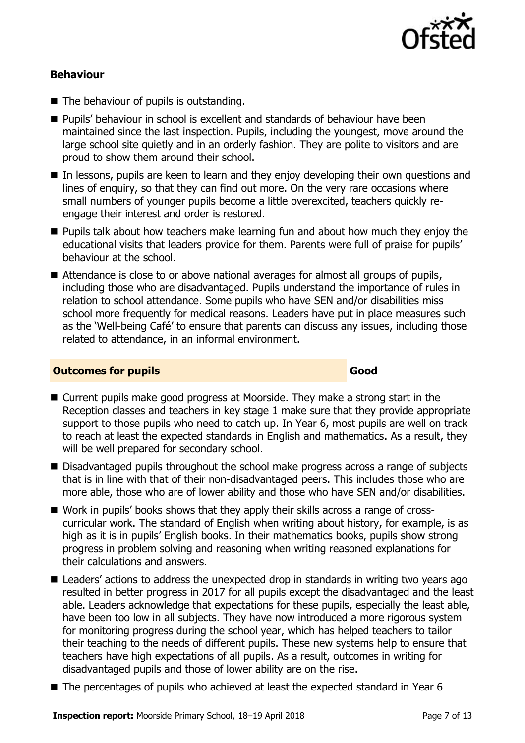

### **Behaviour**

- The behaviour of pupils is outstanding.
- **Pupils' behaviour in school is excellent and standards of behaviour have been** maintained since the last inspection. Pupils, including the youngest, move around the large school site quietly and in an orderly fashion. They are polite to visitors and are proud to show them around their school.
- In lessons, pupils are keen to learn and they enjoy developing their own questions and lines of enquiry, so that they can find out more. On the very rare occasions where small numbers of younger pupils become a little overexcited, teachers quickly reengage their interest and order is restored.
- **Pupils talk about how teachers make learning fun and about how much they enjoy the** educational visits that leaders provide for them. Parents were full of praise for pupils' behaviour at the school.
- Attendance is close to or above national averages for almost all groups of pupils, including those who are disadvantaged. Pupils understand the importance of rules in relation to school attendance. Some pupils who have SEN and/or disabilities miss school more frequently for medical reasons. Leaders have put in place measures such as the 'Well-being Café' to ensure that parents can discuss any issues, including those related to attendance, in an informal environment.

### **Outcomes for pupils Good**

- Current pupils make good progress at Moorside. They make a strong start in the Reception classes and teachers in key stage 1 make sure that they provide appropriate support to those pupils who need to catch up. In Year 6, most pupils are well on track to reach at least the expected standards in English and mathematics. As a result, they will be well prepared for secondary school.
- Disadvantaged pupils throughout the school make progress across a range of subjects that is in line with that of their non-disadvantaged peers. This includes those who are more able, those who are of lower ability and those who have SEN and/or disabilities.
- Work in pupils' books shows that they apply their skills across a range of crosscurricular work. The standard of English when writing about history, for example, is as high as it is in pupils' English books. In their mathematics books, pupils show strong progress in problem solving and reasoning when writing reasoned explanations for their calculations and answers.
- Leaders' actions to address the unexpected drop in standards in writing two years ago resulted in better progress in 2017 for all pupils except the disadvantaged and the least able. Leaders acknowledge that expectations for these pupils, especially the least able, have been too low in all subjects. They have now introduced a more rigorous system for monitoring progress during the school year, which has helped teachers to tailor their teaching to the needs of different pupils. These new systems help to ensure that teachers have high expectations of all pupils. As a result, outcomes in writing for disadvantaged pupils and those of lower ability are on the rise.
- The percentages of pupils who achieved at least the expected standard in Year 6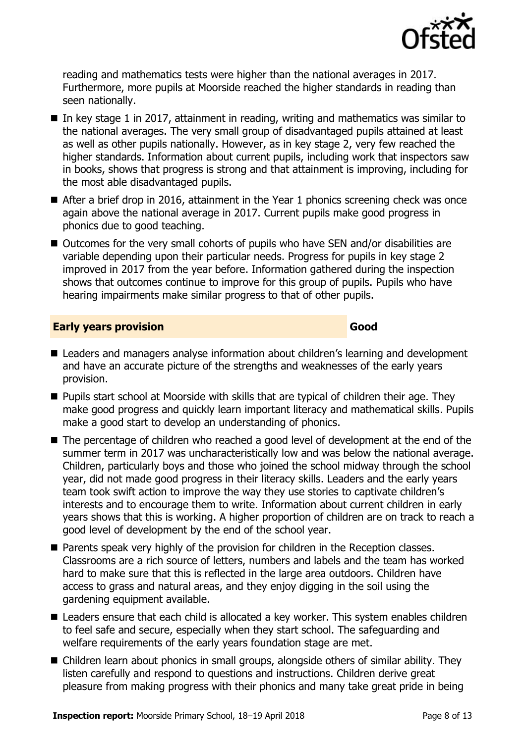

reading and mathematics tests were higher than the national averages in 2017. Furthermore, more pupils at Moorside reached the higher standards in reading than seen nationally.

- In key stage 1 in 2017, attainment in reading, writing and mathematics was similar to the national averages. The very small group of disadvantaged pupils attained at least as well as other pupils nationally. However, as in key stage 2, very few reached the higher standards. Information about current pupils, including work that inspectors saw in books, shows that progress is strong and that attainment is improving, including for the most able disadvantaged pupils.
- After a brief drop in 2016, attainment in the Year 1 phonics screening check was once again above the national average in 2017. Current pupils make good progress in phonics due to good teaching.
- Outcomes for the very small cohorts of pupils who have SEN and/or disabilities are variable depending upon their particular needs. Progress for pupils in key stage 2 improved in 2017 from the year before. Information gathered during the inspection shows that outcomes continue to improve for this group of pupils. Pupils who have hearing impairments make similar progress to that of other pupils.

### **Early years provision Good Good**

- Leaders and managers analyse information about children's learning and development and have an accurate picture of the strengths and weaknesses of the early years provision.
- **Pupils start school at Moorside with skills that are typical of children their age. They** make good progress and quickly learn important literacy and mathematical skills. Pupils make a good start to develop an understanding of phonics.
- The percentage of children who reached a good level of development at the end of the summer term in 2017 was uncharacteristically low and was below the national average. Children, particularly boys and those who joined the school midway through the school year, did not made good progress in their literacy skills. Leaders and the early years team took swift action to improve the way they use stories to captivate children's interests and to encourage them to write. Information about current children in early years shows that this is working. A higher proportion of children are on track to reach a good level of development by the end of the school year.
- **Parents speak very highly of the provision for children in the Reception classes.** Classrooms are a rich source of letters, numbers and labels and the team has worked hard to make sure that this is reflected in the large area outdoors. Children have access to grass and natural areas, and they enjoy digging in the soil using the gardening equipment available.
- Leaders ensure that each child is allocated a key worker. This system enables children to feel safe and secure, especially when they start school. The safeguarding and welfare requirements of the early years foundation stage are met.
- Children learn about phonics in small groups, alongside others of similar ability. They listen carefully and respond to questions and instructions. Children derive great pleasure from making progress with their phonics and many take great pride in being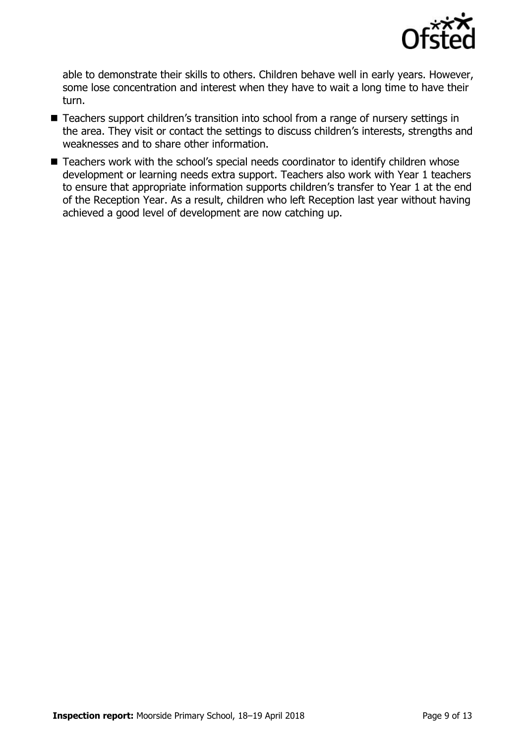

able to demonstrate their skills to others. Children behave well in early years. However, some lose concentration and interest when they have to wait a long time to have their turn.

- Teachers support children's transition into school from a range of nursery settings in the area. They visit or contact the settings to discuss children's interests, strengths and weaknesses and to share other information.
- Teachers work with the school's special needs coordinator to identify children whose development or learning needs extra support. Teachers also work with Year 1 teachers to ensure that appropriate information supports children's transfer to Year 1 at the end of the Reception Year. As a result, children who left Reception last year without having achieved a good level of development are now catching up.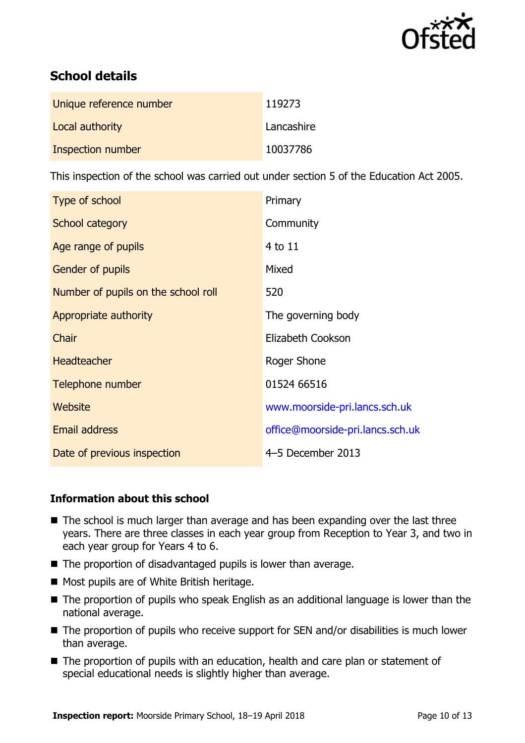

# **School details**

| Unique reference number | 119273     |
|-------------------------|------------|
| Local authority         | Lancashire |
| Inspection number       | 10037786   |

This inspection of the school was carried out under section 5 of the Education Act 2005.

| Type of school                      | Primary                          |
|-------------------------------------|----------------------------------|
| School category                     | Community                        |
| Age range of pupils                 | 4 to 11                          |
| <b>Gender of pupils</b>             | Mixed                            |
| Number of pupils on the school roll | 520                              |
| Appropriate authority               | The governing body               |
| Chair                               | Elizabeth Cookson                |
| <b>Headteacher</b>                  | Roger Shone                      |
| Telephone number                    | 01524 66516                      |
| Website                             | www.moorside-pri.lancs.sch.uk    |
| Email address                       | office@moorside-pri.lancs.sch.uk |
| Date of previous inspection         | 4-5 December 2013                |

### **Information about this school**

- The school is much larger than average and has been expanding over the last three years. There are three classes in each year group from Reception to Year 3, and two in each year group for Years 4 to 6.
- The proportion of disadvantaged pupils is lower than average.
- **Most pupils are of White British heritage.**
- The proportion of pupils who speak English as an additional language is lower than the national average.
- The proportion of pupils who receive support for SEN and/or disabilities is much lower than average.
- The proportion of pupils with an education, health and care plan or statement of special educational needs is slightly higher than average.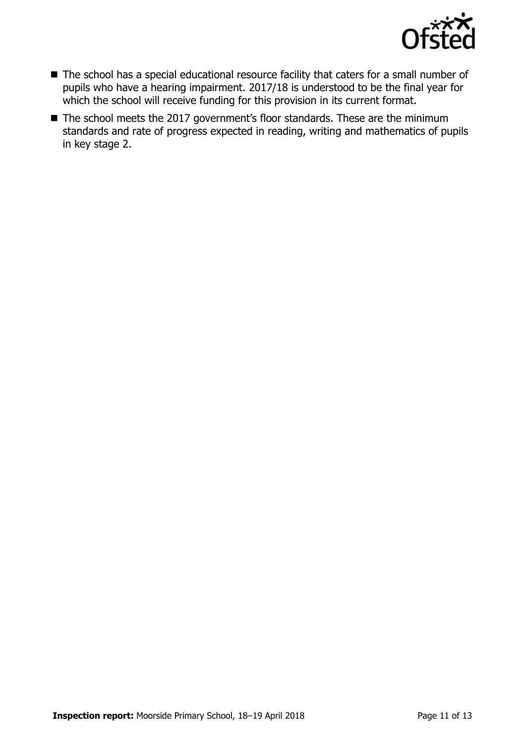

- The school has a special educational resource facility that caters for a small number of pupils who have a hearing impairment. 2017/18 is understood to be the final year for which the school will receive funding for this provision in its current format.
- The school meets the 2017 government's floor standards. These are the minimum standards and rate of progress expected in reading, writing and mathematics of pupils in key stage 2.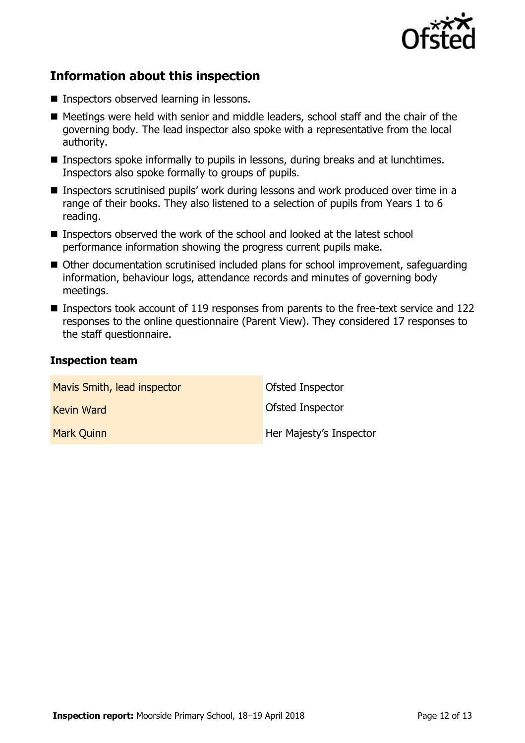

## **Information about this inspection**

- **Inspectors observed learning in lessons.**
- Meetings were held with senior and middle leaders, school staff and the chair of the governing body. The lead inspector also spoke with a representative from the local authority.
- Inspectors spoke informally to pupils in lessons, during breaks and at lunchtimes. Inspectors also spoke formally to groups of pupils.
- Inspectors scrutinised pupils' work during lessons and work produced over time in a range of their books. They also listened to a selection of pupils from Years 1 to 6 reading.
- Inspectors observed the work of the school and looked at the latest school performance information showing the progress current pupils make.
- Other documentation scrutinised included plans for school improvement, safeguarding information, behaviour logs, attendance records and minutes of governing body meetings.
- Inspectors took account of 119 responses from parents to the free-text service and 122 responses to the online questionnaire (Parent View). They considered 17 responses to the staff questionnaire.

### **Inspection team**

| Mavis Smith, lead inspector | Ofsted Inspector        |
|-----------------------------|-------------------------|
| <b>Kevin Ward</b>           | Ofsted Inspector        |
| <b>Mark Quinn</b>           | Her Majesty's Inspector |